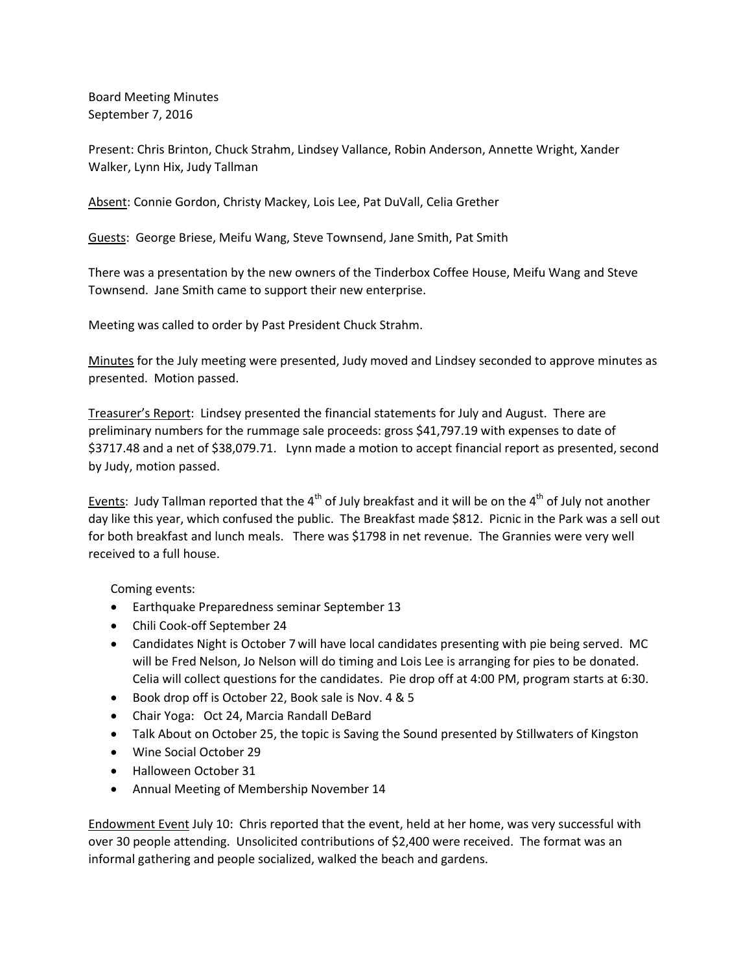Board Meeting Minutes September 7, 2016

Present: Chris Brinton, Chuck Strahm, Lindsey Vallance, Robin Anderson, Annette Wright, Xander Walker, Lynn Hix, Judy Tallman

Absent: Connie Gordon, Christy Mackey, Lois Lee, Pat DuVall, Celia Grether

Guests: George Briese, Meifu Wang, Steve Townsend, Jane Smith, Pat Smith

There was a presentation by the new owners of the Tinderbox Coffee House, Meifu Wang and Steve Townsend. Jane Smith came to support their new enterprise.

Meeting was called to order by Past President Chuck Strahm.

Minutes for the July meeting were presented, Judy moved and Lindsey seconded to approve minutes as presented. Motion passed.

Treasurer's Report: Lindsey presented the financial statements for July and August. There are preliminary numbers for the rummage sale proceeds: gross \$41,797.19 with expenses to date of \$3717.48 and a net of \$38,079.71. Lynn made a motion to accept financial report as presented, second by Judy, motion passed.

Events: Judy Tallman reported that the  $4<sup>th</sup>$  of July breakfast and it will be on the  $4<sup>th</sup>$  of July not another day like this year, which confused the public. The Breakfast made \$812. Picnic in the Park was a sell out for both breakfast and lunch meals. There was \$1798 in net revenue. The Grannies were very well received to a full house.

Coming events:

- Earthquake Preparedness seminar September 13
- Chili Cook-off September 24
- Candidates Night is October 7 will have local candidates presenting with pie being served. MC will be Fred Nelson, Jo Nelson will do timing and Lois Lee is arranging for pies to be donated. Celia will collect questions for the candidates. Pie drop off at 4:00 PM, program starts at 6:30.
- Book drop off is October 22, Book sale is Nov. 4 & 5
- Chair Yoga: Oct 24, Marcia Randall DeBard
- Talk About on October 25, the topic is Saving the Sound presented by Stillwaters of Kingston
- Wine Social October 29
- Halloween October 31
- Annual Meeting of Membership November 14

Endowment Event July 10: Chris reported that the event, held at her home, was very successful with over 30 people attending. Unsolicited contributions of \$2,400 were received. The format was an informal gathering and people socialized, walked the beach and gardens.